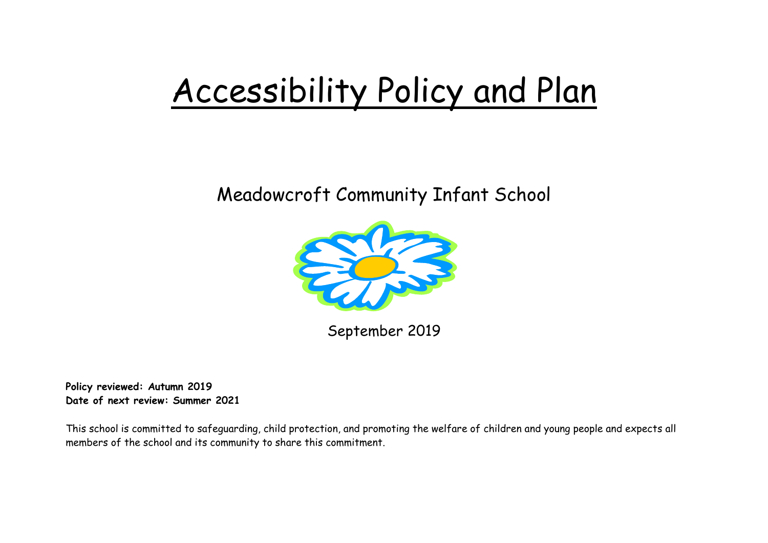# Accessibility Policy and Plan

# Meadowcroft Community Infant School



September 2019

**Policy reviewed: Autumn 2019 Date of next review: Summer 2021**

This school is committed to safeguarding, child protection, and promoting the welfare of children and young people and expects all members of the school and its community to share this commitment.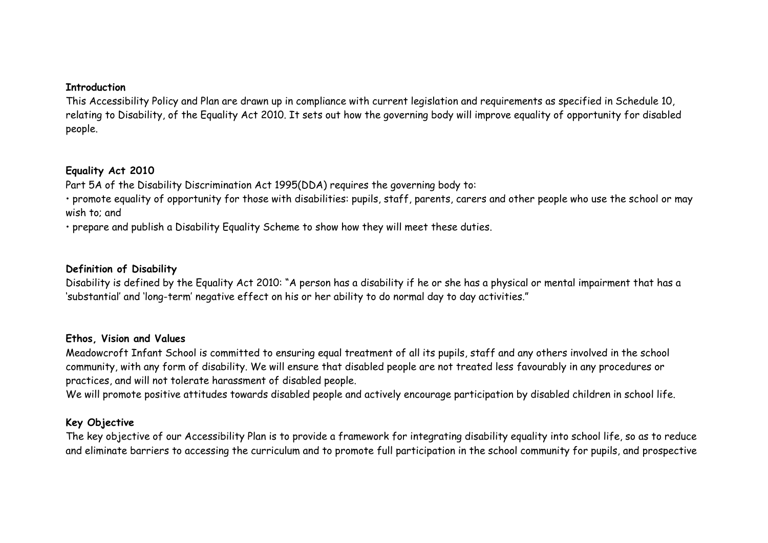#### **Introduction**

This Accessibility Policy and Plan are drawn up in compliance with current legislation and requirements as specified in Schedule 10, relating to Disability, of the Equality Act 2010. It sets out how the governing body will improve equality of opportunity for disabled people.

## **Equality Act 2010**

Part 5A of the Disability Discrimination Act 1995(DDA) requires the governing body to:

• promote equality of opportunity for those with disabilities: pupils, staff, parents, carers and other people who use the school or may wish to; and

• prepare and publish a Disability Equality Scheme to show how they will meet these duties.

#### **Definition of Disability**

Disability is defined by the Equality Act 2010: "A person has a disability if he or she has a physical or mental impairment that has a 'substantial' and 'long-term' negative effect on his or her ability to do normal day to day activities."

#### **Ethos, Vision and Values**

Meadowcroft Infant School is committed to ensuring equal treatment of all its pupils, staff and any others involved in the school community, with any form of disability. We will ensure that disabled people are not treated less favourably in any procedures or practices, and will not tolerate harassment of disabled people.

We will promote positive attitudes towards disabled people and actively encourage participation by disabled children in school life.

## **Key Objective**

The key objective of our Accessibility Plan is to provide a framework for integrating disability equality into school life, so as to reduce and eliminate barriers to accessing the curriculum and to promote full participation in the school community for pupils, and prospective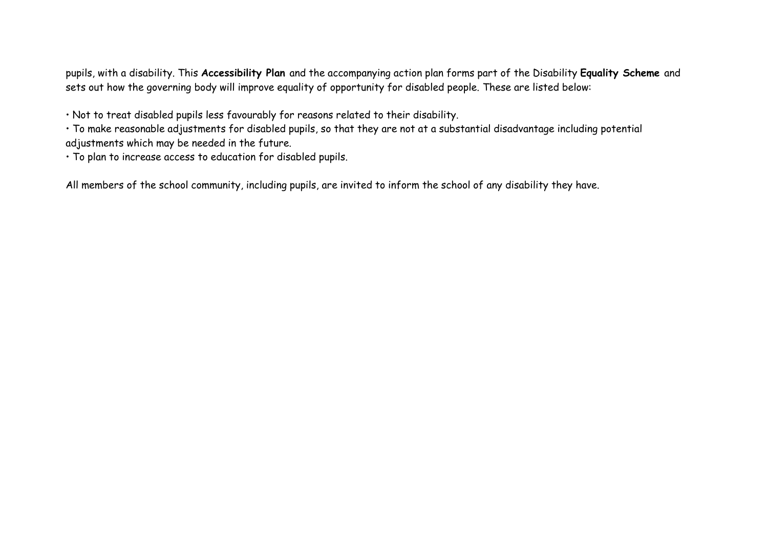pupils, with a disability. This **Accessibility Plan** and the accompanying action plan forms part of the Disability **Equality Scheme** and sets out how the governing body will improve equality of opportunity for disabled people. These are listed below:

• Not to treat disabled pupils less favourably for reasons related to their disability.

• To make reasonable adjustments for disabled pupils, so that they are not at a substantial disadvantage including potential adjustments which may be needed in the future.

• To plan to increase access to education for disabled pupils.

All members of the school community, including pupils, are invited to inform the school of any disability they have.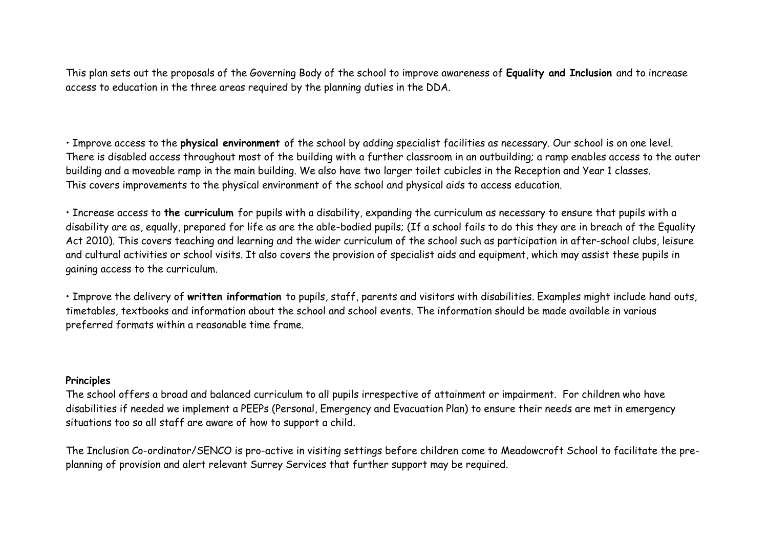This plan sets out the proposals of the Governing Body of the school to improve awareness of **Equality and Inclusion** and to increase access to education in the three areas required by the planning duties in the DDA.

• Improve access to the **physical environment** of the school by adding specialist facilities as necessary. Our school is on one level. There is disabled access throughout most of the building with a further classroom in an outbuilding; a ramp enables access to the outer building and a moveable ramp in the main building. We also have two larger toilet cubicles in the Reception and Year 1 classes. This covers improvements to the physical environment of the school and physical aids to access education.

• Increase access to **the curriculum** for pupils with a disability, expanding the curriculum as necessary to ensure that pupils with a disability are as, equally, prepared for life as are the able-bodied pupils; (If a school fails to do this they are in breach of the Equality Act 2010). This covers teaching and learning and the wider curriculum of the school such as participation in after-school clubs, leisure and cultural activities or school visits. It also covers the provision of specialist aids and equipment, which may assist these pupils in gaining access to the curriculum.

• Improve the delivery of **written information** to pupils, staff, parents and visitors with disabilities. Examples might include hand outs, timetables, textbooks and information about the school and school events. The information should be made available in various preferred formats within a reasonable time frame.

#### **Principles**

The school offers a broad and balanced curriculum to all pupils irrespective of attainment or impairment. For children who have disabilities if needed we implement a PEEPs (Personal, Emergency and Evacuation Plan) to ensure their needs are met in emergency situations too so all staff are aware of how to support a child.

The Inclusion Co-ordinator/SENCO is pro-active in visiting settings before children come to Meadowcroft School to facilitate the preplanning of provision and alert relevant Surrey Services that further support may be required.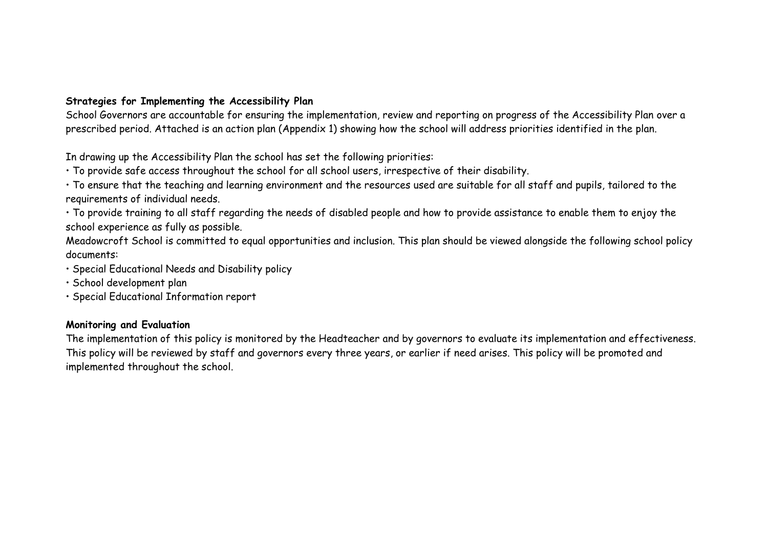# **Strategies for Implementing the Accessibility Plan**

School Governors are accountable for ensuring the implementation, review and reporting on progress of the Accessibility Plan over a prescribed period. Attached is an action plan (Appendix 1) showing how the school will address priorities identified in the plan.

In drawing up the Accessibility Plan the school has set the following priorities:

• To provide safe access throughout the school for all school users, irrespective of their disability.

• To ensure that the teaching and learning environment and the resources used are suitable for all staff and pupils, tailored to the requirements of individual needs.

• To provide training to all staff regarding the needs of disabled people and how to provide assistance to enable them to enjoy the school experience as fully as possible.

Meadowcroft School is committed to equal opportunities and inclusion. This plan should be viewed alongside the following school policy documents:

• Special Educational Needs and Disability policy

• School development plan

• Special Educational Information report

## **Monitoring and Evaluation**

The implementation of this policy is monitored by the Headteacher and by governors to evaluate its implementation and effectiveness. This policy will be reviewed by staff and governors every three years, or earlier if need arises. This policy will be promoted and implemented throughout the school.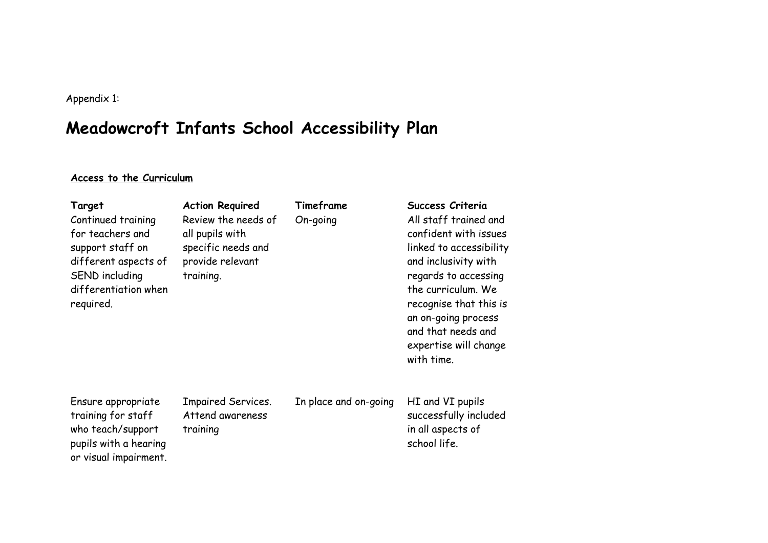Appendix 1:

# **Meadowcroft Infants School Accessibility Plan**

# **Access to the Curriculum**

or visual impairment.

| Target<br>Continued training<br>for teachers and<br>support staff on<br>different aspects of<br>SEND including<br>differentiation when<br>required. | <b>Action Required</b><br>Review the needs of<br>all pupils with<br>specific needs and<br>provide relevant<br>training. | Timeframe<br>On-going | Success Criteria<br>All staff trained and<br>confident with issues<br>linked to accessibility<br>and inclusivity with<br>regards to accessing<br>the curriculum. We<br>recognise that this is<br>an on-going process<br>and that needs and<br>expertise will change<br>with time. |
|-----------------------------------------------------------------------------------------------------------------------------------------------------|-------------------------------------------------------------------------------------------------------------------------|-----------------------|-----------------------------------------------------------------------------------------------------------------------------------------------------------------------------------------------------------------------------------------------------------------------------------|
| Ensure appropriate<br>training for staff<br>who teach/support<br>pupils with a hearing                                                              | <b>Impaired Services.</b><br>Attend awareness<br>training                                                               | In place and on-going | HI and VI pupils<br>successfully included<br>in all aspects of<br>school life.                                                                                                                                                                                                    |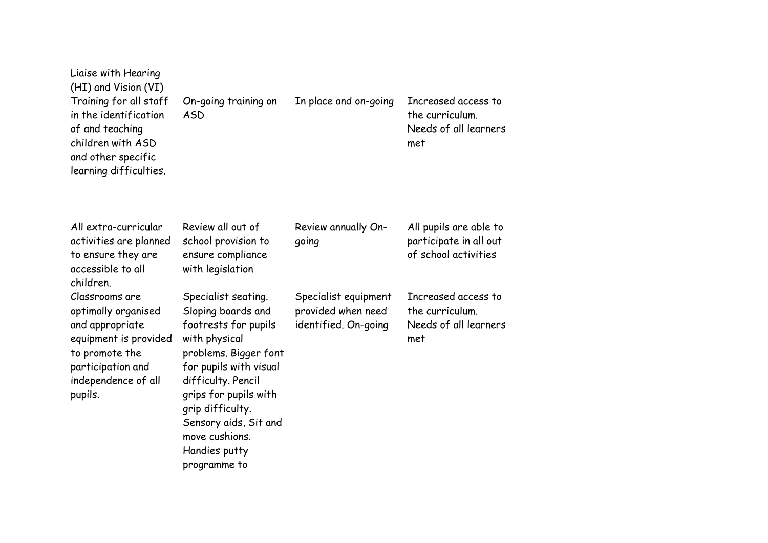| Liaise with Hearing<br>(HI) and Vision (VI)<br>Training for all staff<br>in the identification<br>of and teaching<br>children with ASD<br>and other specific<br>learning difficulties. | On-going training on<br><b>ASD</b>                                                                                                                                                                                                                                                   | In place and on-going                                              | Increased access to<br>the curriculum.<br>Needs of all learners<br>met   |
|----------------------------------------------------------------------------------------------------------------------------------------------------------------------------------------|--------------------------------------------------------------------------------------------------------------------------------------------------------------------------------------------------------------------------------------------------------------------------------------|--------------------------------------------------------------------|--------------------------------------------------------------------------|
| All extra-curricular<br>activities are planned<br>to ensure they are<br>accessible to all<br>children.                                                                                 | Review all out of<br>school provision to<br>ensure compliance<br>with legislation                                                                                                                                                                                                    | Review annually On-<br>qoing                                       | All pupils are able to<br>participate in all out<br>of school activities |
| Classrooms are<br>optimally organised<br>and appropriate<br>equipment is provided<br>to promote the<br>participation and<br>independence of all<br>pupils.                             | Specialist seating.<br>Sloping boards and<br>footrests for pupils<br>with physical<br>problems. Bigger font<br>for pupils with visual<br>difficulty. Pencil<br>grips for pupils with<br>grip difficulty.<br>Sensory aids, Sit and<br>move cushions.<br>Handies putty<br>programme to | Specialist equipment<br>provided when need<br>identified. On-going | Increased access to<br>the curriculum.<br>Needs of all learners<br>met   |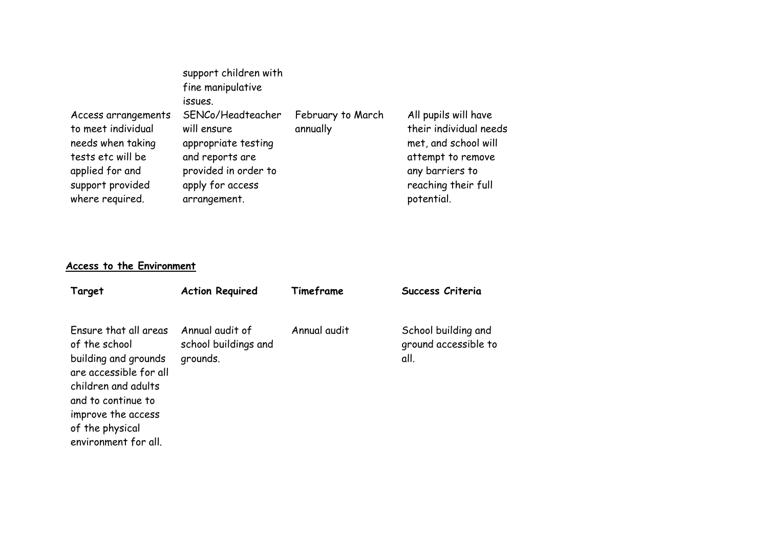| support provided<br>apply for access<br>where required.<br>arrangement. | Access arrangements<br>to meet individual<br>needs when taking<br>tests etc will be<br>applied for and | support children with<br>fine manipulative<br>issues.<br>SENCo/Headteacher<br>will ensure<br>appropriate testing<br>and reports are<br>provided in order to | February to March<br>annually | All pupils will have<br>their individual needs<br>met, and school will<br>attempt to remove<br>any barriers to<br>reaching their full<br>potential. |
|-------------------------------------------------------------------------|--------------------------------------------------------------------------------------------------------|-------------------------------------------------------------------------------------------------------------------------------------------------------------|-------------------------------|-----------------------------------------------------------------------------------------------------------------------------------------------------|
|-------------------------------------------------------------------------|--------------------------------------------------------------------------------------------------------|-------------------------------------------------------------------------------------------------------------------------------------------------------------|-------------------------------|-----------------------------------------------------------------------------------------------------------------------------------------------------|

# **Access to the Environment**

environment for all.

| Target                                                                                                                                                                         | <b>Action Required</b>                              | Timeframe    | Success Criteria                                    |
|--------------------------------------------------------------------------------------------------------------------------------------------------------------------------------|-----------------------------------------------------|--------------|-----------------------------------------------------|
| Ensure that all areas<br>of the school<br>building and grounds<br>are accessible for all<br>children and adults<br>and to continue to<br>improve the access<br>of the physical | Annual audit of<br>school buildings and<br>grounds. | Annual audit | School building and<br>ground accessible to<br>all. |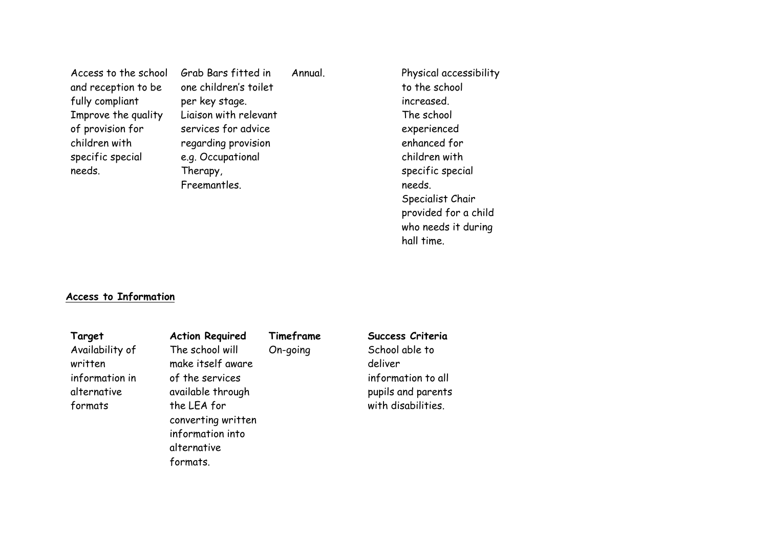Access to the school and reception to be fully compliant Improve the quality of provision for children with specific special needs.

Grab Bars fitted in one children's toilet per key stage. Liaison with relevant services for advice regarding provision e.g. Occupational Therapy, Freemantles.

Annual. Physical accessibility to the school increased. The school experienced enhanced for children with specific special needs. Specialist Chair provided for a child who needs it during hall time.

#### **Access to Information**

Availability of written information in alternative formats

The school will make itself aware of the services available through the LEA for converting written information into alternative formats.

**Target Action Required Timeframe Success Criteria** 

On-going School able to deliver information to all pupils and parents with disabilities.